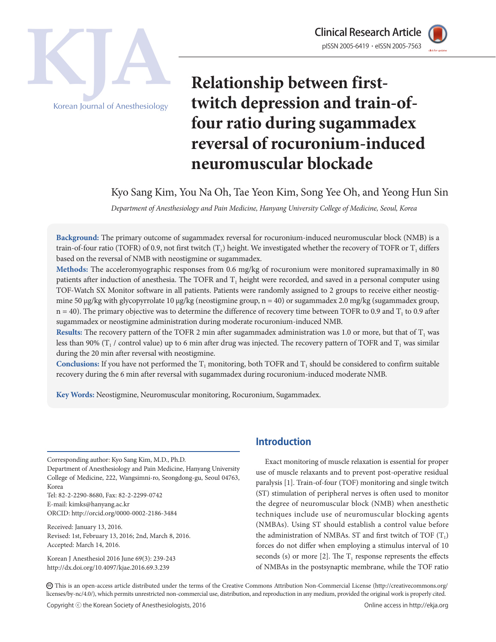



# **Relationship between firsttwitch depression and train-offour ratio during sugammadex reversal of rocuronium-induced neuromuscular blockade**

Kyo Sang Kim, You Na Oh, Tae Yeon Kim, Song Yee Oh, and Yeong Hun Sin

*Department of Anesthesiology and Pain Medicine, Hanyang University College of Medicine, Seoul, Korea*

**Background:** The primary outcome of sugammadex reversal for rocuronium-induced neuromuscular block (NMB) is a train-of-four ratio (TOFR) of 0.9, not first twitch  $(T_1)$  height. We investigated whether the recovery of TOFR or  $T_1$  differs based on the reversal of NMB with neostigmine or sugammadex.

**Methods:** The acceleromyographic responses from 0.6 mg/kg of rocuronium were monitored supramaximally in 80 patients after induction of anesthesia. The TOFR and  $T_1$  height were recorded, and saved in a personal computer using TOF-Watch SX Monitor software in all patients. Patients were randomly assigned to 2 groups to receive either neostigmine 50 µg/kg with glycopyrrolate 10 µg/kg (neostigmine group, n = 40) or sugammadex 2.0 mg/kg (sugammadex group,  $n = 40$ ). The primary objective was to determine the difference of recovery time between TOFR to 0.9 and  $T<sub>1</sub>$  to 0.9 after sugammadex or neostigmine administration during moderate rocuronium-induced NMB.

**Results:** The recovery pattern of the TOFR 2 min after sugammadex administration was 1.0 or more, but that of  $T_1$  was less than 90% ( $T_1$  / control value) up to 6 min after drug was injected. The recovery pattern of TOFR and  $T_1$  was similar during the 20 min after reversal with neostigmine.

**Conclusions:** If you have not performed the  $T_1$  monitoring, both TOFR and  $T_1$  should be considered to confirm suitable recovery during the 6 min after reversal with sugammadex during rocuronium-induced moderate NMB.

**Key Words:** Neostigmine, Neuromuscular monitoring, Rocuronium, Sugammadex.

Corresponding author: Kyo Sang Kim, M.D., Ph.D.

Department of Anesthesiology and Pain Medicine, Hanyang University College of Medicine, 222, Wangsimni-ro, Seongdong-gu, Seoul 04763, Korea

Tel: 82-2-2290-8680, Fax: 82-2-2299-0742 E-mail: kimks@hanyang.ac.kr ORCID: http://orcid.org/0000-0002-2186-3484

Received: January 13, 2016.

Revised: 1st, February 13, 2016; 2nd, March 8, 2016. Accepted: March 14, 2016.

Korean J Anesthesiol 2016 June 69(3): 239-243 http://dx.doi.org/10.4097/kjae.2016.69.3.239

## **Introduction**

Exact monitoring of muscle relaxation is essential for proper use of muscle relaxants and to prevent post-operative residual paralysis [1]. Train-of-four (TOF) monitoring and single twitch (ST) stimulation of peripheral nerves is often used to monitor the degree of neuromuscular block (NMB) when anesthetic techniques include use of neuromuscular blocking agents (NMBAs). Using ST should establish a control value before the administration of NMBAs. ST and first twitch of TOF  $(T_1)$ forces do not differ when employing a stimulus interval of 10 seconds (s) or more [2]. The  $T_1$  response represents the effects of NMBAs in the postsynaptic membrane, while the TOF ratio

CC This is an open-access article distributed under the terms of the Creative Commons Attribution Non-Commercial License (http://creativecommons.org/ licenses/by-nc/4.0/), which permits unrestricted non-commercial use, distribution, and reproduction in any medium, provided the original work is properly cited.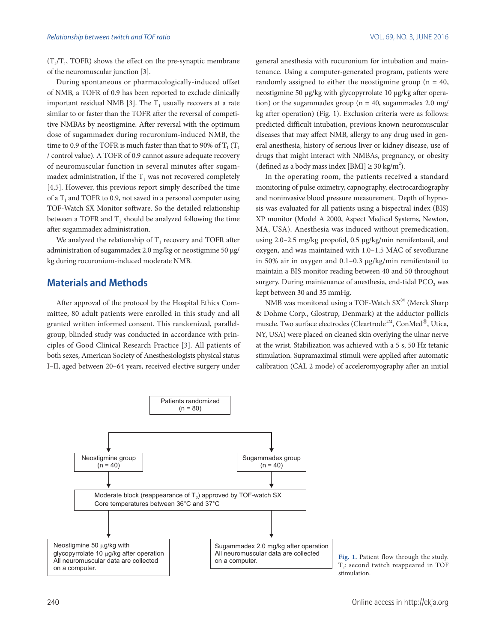$(T_A/T_1, TOFR)$  shows the effect on the pre-synaptic membrane of the neuromuscular junction [3].

During spontaneous or pharmacologically-induced offset of NMB, a TOFR of 0.9 has been reported to exclude clinically important residual NMB [3]. The  $T_1$  usually recovers at a rate similar to or faster than the TOFR after the reversal of competitive NMBAs by neostigmine. After reversal with the optimum dose of sugammadex during rocuronium-induced NMB, the time to 0.9 of the TOFR is much faster than that to 90% of  $T_1$  (T<sub>1</sub>) / control value). A TOFR of 0.9 cannot assure adequate recovery of neuromuscular function in several minutes after sugammadex administration, if the  $T_1$  was not recovered completely [4,5]. However, this previous report simply described the time of a  $T<sub>1</sub>$  and TOFR to 0.9, not saved in a personal computer using TOF-Watch SX Monitor software. So the detailed relationship between a TOFR and  $T_1$  should be analyzed following the time after sugammadex administration.

We analyzed the relationship of  $T_1$  recovery and TOFR after administration of sugammadex 2.0 mg/kg or neostigmine 50 µg/ kg during rocuronium-induced moderate NMB.

## **Materials and Methods**

After approval of the protocol by the Hospital Ethics Committee, 80 adult patients were enrolled in this study and all granted written informed consent. This randomized, parallelgroup, blinded study was conducted in accordance with principles of Good Clinical Research Practice [3]. All patients of both sexes, American Society of Anesthesiologists physical status I–II, aged between 20–64 years, received elective surgery under

general anesthesia with rocuronium for intubation and maintenance. Using a computer-generated program, patients were randomly assigned to either the neostigmine group ( $n = 40$ , neostigmine 50 µg/kg with glycopyrrolate 10 µg/kg after operation) or the sugammadex group ( $n = 40$ , sugammadex 2.0 mg/ kg after operation) (Fig. 1). Exclusion criteria were as follows: predicted difficult intubation, previous known neuromuscular diseases that may affect NMB, allergy to any drug used in general anesthesia, history of serious liver or kidney disease, use of drugs that might interact with NMBAs, pregnancy, or obesity (defined as a body mass index [BMI]  $\geq$  30 kg/m<sup>2</sup>).

In the operating room, the patients received a standard monitoring of pulse oximetry, capnography, electrocardiography and noninvasive blood pressure measurement. Depth of hypnosis was evaluated for all patients using a bispectral index (BIS) XP monitor (Model A 2000, Aspect Medical Systems, Newton, MA, USA). Anesthesia was induced without premedication, using 2.0–2.5 mg/kg propofol, 0.5 μg/kg/min remifentanil, and oxygen, and was maintained with 1.0–1.5 MAC of sevoflurane in 50% air in oxygen and 0.1–0.3 μg/kg/min remifentanil to maintain a BIS monitor reading between 40 and 50 throughout surgery. During maintenance of anesthesia, end-tidal PCO<sub>2</sub> was kept between 30 and 35 mmHg.

NMB was monitored using a TOF-Watch  $SX^{\circledR}$  (Merck Sharp & Dohme Corp., Glostrup, Denmark) at the adductor pollicis muscle. Two surface electrodes (Cleartrode<sup>TM</sup>, ConMed<sup>®</sup>, Utica, NY, USA) were placed on cleaned skin overlying the ulnar nerve at the wrist. Stabilization was achieved with a 5 s, 50 Hz tetanic stimulation. Supramaximal stimuli were applied after automatic calibration (CAL 2 mode) of acceleromyography after an initial



**Fig. 1.** Patient flow through the study. T<sub>2</sub>: second twitch reappeared in TOF stimulation.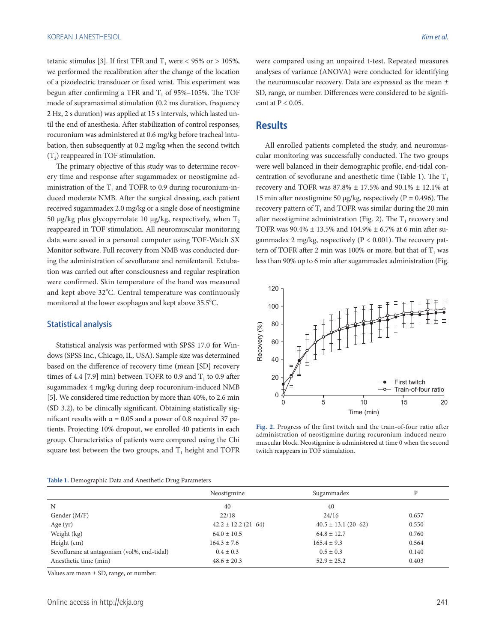tetanic stimulus [3]. If first TFR and  $T_1$  were < 95% or > 105%, we performed the recalibration after the change of the location of a pizoelectric transducer or fixed wrist. This experiment was begun after confirming a TFR and  $T<sub>1</sub>$  of 95%–105%. The TOF mode of supramaximal stimulation (0.2 ms duration, frequency 2 Hz, 2 s duration) was applied at 15 s intervals, which lasted until the end of anesthesia. After stabilization of control responses, rocuronium was administered at 0.6 mg/kg before tracheal intubation, then subsequently at 0.2 mg/kg when the second twitch  $(T<sub>2</sub>)$  reappeared in TOF stimulation.

The primary objective of this study was to determine recovery time and response after sugammadex or neostigmine administration of the  $T_1$  and TOFR to 0.9 during rocuronium-induced moderate NMB. After the surgical dressing, each patient received sugammadex 2.0 mg/kg or a single dose of neostigmine 50 µg/kg plus glycopyrrolate 10 µg/kg, respectively, when  $T_2$ reappeared in TOF stimulation. All neuromuscular monitoring data were saved in a personal computer using TOF-Watch SX Monitor software. Full recovery from NMB was conducted during the administration of sevoflurane and remifentanil. Extubation was carried out after consciousness and regular respiration were confirmed. Skin temperature of the hand was measured and kept above 32°C. Central temperature was continuously monitored at the lower esophagus and kept above 35.5°C.

#### Statistical analysis

Statistical analysis was performed with SPSS 17.0 for Windows (SPSS Inc., Chicago, IL, USA). Sample size was determined based on the difference of recovery time (mean [SD] recovery times of 4.4 [7.9] min) between TOFR to 0.9 and  $T<sub>1</sub>$  to 0.9 after sugammadex 4 mg/kg during deep rocuronium-induced NMB [5]. We considered time reduction by more than 40%, to 2.6 min (SD 3.2), to be clinically significant. Obtaining statistically significant results with  $\alpha$  = 0.05 and a power of 0.8 required 37 patients. Projecting 10% dropout, we enrolled 40 patients in each group. Characteristics of patients were compared using the Chi square test between the two groups, and  $T_1$  height and TOFR were compared using an unpaired t-test. Repeated measures analyses of variance (ANOVA) were conducted for identifying the neuromuscular recovery. Data are expressed as the mean ± SD, range, or number. Differences were considered to be significant at  $P < 0.05$ .

## **Results**

All enrolled patients completed the study, and neuromuscular monitoring was successfully conducted. The two groups were well balanced in their demographic profile, end-tidal concentration of sevoflurane and anesthetic time (Table 1). The  $T_1$ recovery and TOFR was  $87.8\% \pm 17.5\%$  and  $90.1\% \pm 12.1\%$  at 15 min after neostigmine 50  $\mu$ g/kg, respectively (P = 0.496). The recovery pattern of  $T_1$  and TOFR was similar during the 20 min after neostigmine administration (Fig. 2). The  $T_1$  recovery and TOFR was 90.4% ± 13.5% and 104.9% ± 6.7% at 6 min after sugammadex 2 mg/kg, respectively ( $P < 0.001$ ). The recovery pattern of TOFR after 2 min was 100% or more, but that of  $T_1$  was less than 90% up to 6 min after sugammadex administration (Fig.



**Fig. 2.** Progress of the first twitch and the train-of-four ratio after administration of neostigmine during rocuronium-induced neuromuscular block. Neostigmine is administered at time 0 when the second twitch reappears in TOF stimulation.

|                                             | Neostigmine             | Sugammadex              |       |
|---------------------------------------------|-------------------------|-------------------------|-------|
| N                                           | 40                      | 40                      |       |
| Gender (M/F)                                | 22/18                   | 24/16                   | 0.657 |
| Age $(yr)$                                  | $42.2 \pm 12.2$ (21-64) | $40.5 \pm 13.1$ (20-62) | 0.550 |
| Weight (kg)                                 | $64.0 \pm 10.5$         | $64.8 \pm 12.7$         | 0.760 |
| Height $(cm)$                               | $164.3 \pm 7.6$         | $165.4 \pm 9.3$         | 0.564 |
| Sevoflurane at antagonism (vol%, end-tidal) | $0.4 \pm 0.3$           | $0.5 \pm 0.3$           | 0.140 |
| Anesthetic time (min)                       | $48.6 \pm 20.3$         | $52.9 \pm 25.2$         | 0.403 |

Values are mean ± SD, range, or number.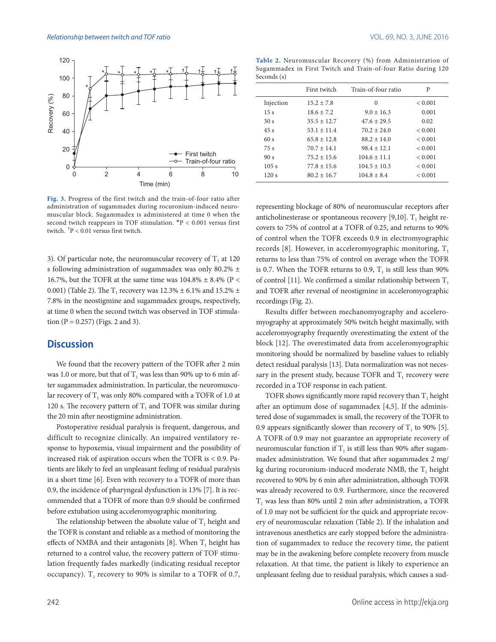

**Fig. 3.** Progress of the first twitch and the train-of-four ratio after administration of sugammadex during rocuronium-induced neuromuscular block. Sugammadex is administered at time 0 when the second twitch reappears in TOF stimulation. \*P < 0.001 versus first twitch. †P < 0.01 versus first twitch.

3). Of particular note, the neuromuscular recovery of  $T_1$  at 120 s following administration of sugammadex was only 80.2% ± 16.7%, but the TOFR at the same time was  $104.8\% \pm 8.4\%$  (P < 0.001) (Table 2). The T<sub>1</sub> recovery was  $12.3\% \pm 6.1\%$  and  $15.2\% \pm 1.1\%$ 7.8% in the neostigmine and sugammadex groups, respectively, at time 0 when the second twitch was observed in TOF stimulation  $(P = 0.257)$  (Figs. 2 and 3).

### **Discussion**

We found that the recovery pattern of the TOFR after 2 min was 1.0 or more, but that of  $T_1$  was less than 90% up to 6 min after sugammadex administration. In particular, the neuromuscular recovery of  $T_1$  was only 80% compared with a TOFR of 1.0 at 120 s. The recovery pattern of  $T_1$  and TOFR was similar during the 20 min after neostigmine administration.

Postoperative residual paralysis is frequent, dangerous, and difficult to recognize clinically. An impaired ventilatory response to hypoxemia, visual impairment and the possibility of increased risk of aspiration occurs when the TOFR is < 0.9. Patients are likely to feel an unpleasant feeling of residual paralysis in a short time [6]. Even with recovery to a TOFR of more than 0.9, the incidence of pharyngeal dysfunction is 13% [7]. It is recommended that a TOFR of more than 0.9 should be confirmed before extubation using acceleromyographic monitoring.

The relationship between the absolute value of  $T_1$  height and the TOFR is constant and reliable as a method of monitoring the effects of NMBA and their antagonists [8]. When  $T_1$  height has returned to a control value, the recovery pattern of TOF stimulation frequently fades markedly (indicating residual receptor occupancy).  $T_1$  recovery to 90% is similar to a TOFR of 0.7,

**Table 2.** Neuromuscular Recovery (%) from Administration of Sugammadex in First Twitch and Train-of-four Ratio during 120 Seconds (s)

|                 | First twitch    | Train-of-four ratio | P           |
|-----------------|-----------------|---------------------|-------------|
| Injection       | $15.2 \pm 7.8$  | $\Omega$            | < 0.001     |
| 15s             | $18.6 \pm 7.2$  | $9.0 \pm 16.3$      | 0.001       |
| 30 <sub>s</sub> | $35.5 \pm 12.7$ | $47.6 \pm 29.5$     | 0.02        |
| 45s             | $53.1 \pm 11.4$ | $70.2 \pm 24.0$     | < 0.001     |
| 60 s            | $65.8 \pm 12.8$ | $88.2 \pm 14.0$     | < 0.001     |
| 75 s            | $70.7 \pm 14.1$ | $98.4 \pm 12.1$     | < 0.001     |
| 90 <sub>s</sub> | $75.2 \pm 15.6$ | $104.6 \pm 11.1$    | < 0.001     |
| 105s            | $77.8 \pm 15.6$ | $104.5 \pm 10.3$    | < 0.001     |
| 120s            | $80.2 \pm 16.7$ | $104.8 \pm 8.4$     | ${}< 0.001$ |

representing blockage of 80% of neuromuscular receptors after anticholinesterase or spontaneous recovery [9,10].  $T_1$  height recovers to 75% of control at a TOFR of 0.25, and returns to 90% of control when the TOFR exceeds 0.9 in electromyographic records [8]. However, in acceleromyographic monitoring,  $T_1$ returns to less than 75% of control on average when the TOFR is 0.7. When the TOFR returns to 0.9,  $T<sub>1</sub>$  is still less than 90% of control [11]. We confirmed a similar relationship between  $T_1$ and TOFR after reversal of neostigmine in acceleromyographic recordings (Fig. 2).

Results differ between mechanomyography and acceleromyography at approximately 50% twitch height maximally, with acceleromyography frequently overestimating the extent of the block [12]. The overestimated data from acceleromyographic monitoring should be normalized by baseline values to reliably detect residual paralysis [13]. Data normalization was not necessary in the present study, because TOFR and  $T_1$  recovery were recorded in a TOF response in each patient.

TOFR shows significantly more rapid recovery than  $T_1$  height after an optimum dose of sugammadex [4,5]. If the administered dose of sugammadex is small, the recovery of the TOFR to 0.9 appears significantly slower than recovery of  $T<sub>1</sub>$  to 90% [5]. A TOFR of 0.9 may not guarantee an appropriate recovery of neuromuscular function if  $T<sub>1</sub>$  is still less than 90% after sugammadex administration. We found that after sugammadex 2 mg/ kg during rocuronium-induced moderate NMB, the  $T_1$  height recovered to 90% by 6 min after administration, although TOFR was already recovered to 0.9. Furthermore, since the recovered  $T<sub>1</sub>$  was less than 80% until 2 min after administration, a TOFR of 1.0 may not be sufficient for the quick and appropriate recovery of neuromuscular relaxation (Table 2). If the inhalation and intravenous anesthetics are early stopped before the administration of sugammadex to reduce the recovery time, the patient may be in the awakening before complete recovery from muscle relaxation. At that time, the patient is likely to experience an unpleasant feeling due to residual paralysis, which causes a sud-